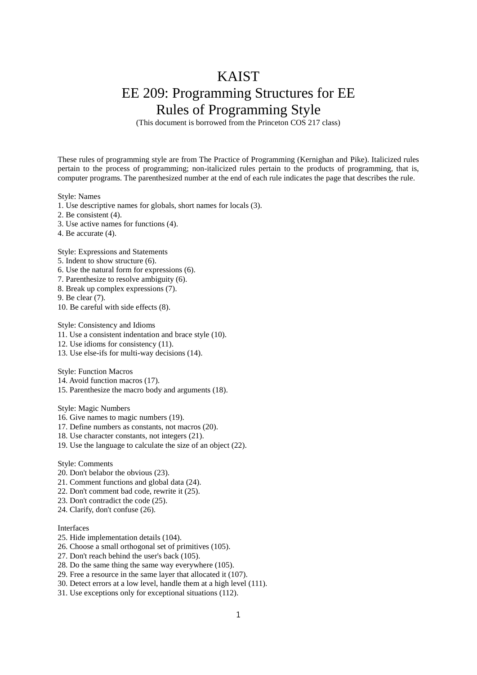## KAIST EE 209: Programming Structures for EE Rules of Programming Style

(This document is borrowed from the Princeton COS 217 class)

These rules of programming style are from The Practice of Programming (Kernighan and Pike). Italicized rules pertain to the process of programming; non-italicized rules pertain to the products of programming, that is, computer programs. The parenthesized number at the end of each rule indicates the page that describes the rule.

Style: Names

1. Use descriptive names for globals, short names for locals (3).

- 2. Be consistent (4).
- 3. Use active names for functions (4).
- 4. Be accurate (4).

Style: Expressions and Statements

- 5. Indent to show structure (6).
- 6. Use the natural form for expressions (6).
- 7. Parenthesize to resolve ambiguity (6).
- 8. Break up complex expressions (7).

9. Be clear (7).

10. Be careful with side effects (8).

Style: Consistency and Idioms

11. Use a consistent indentation and brace style (10).

- 12. Use idioms for consistency (11).
- 13. Use else-ifs for multi-way decisions (14).

Style: Function Macros

- 14. Avoid function macros (17).
- 15. Parenthesize the macro body and arguments (18).

Style: Magic Numbers

- 16. Give names to magic numbers (19).
- 17. Define numbers as constants, not macros (20).
- 18. Use character constants, not integers (21).
- 19. Use the language to calculate the size of an object (22).

Style: Comments

- 20. Don't belabor the obvious (23).
- 21. Comment functions and global data (24).
- 22. Don't comment bad code, rewrite it (25).
- 23. Don't contradict the code (25).
- 24. Clarify, don't confuse (26).

## Interfaces

- 25. Hide implementation details (104).
- 26. Choose a small orthogonal set of primitives (105).
- 27. Don't reach behind the user's back (105).
- 28. Do the same thing the same way everywhere (105).
- 29. Free a resource in the same layer that allocated it (107).
- 30. Detect errors at a low level, handle them at a high level (111).
- 31. Use exceptions only for exceptional situations (112).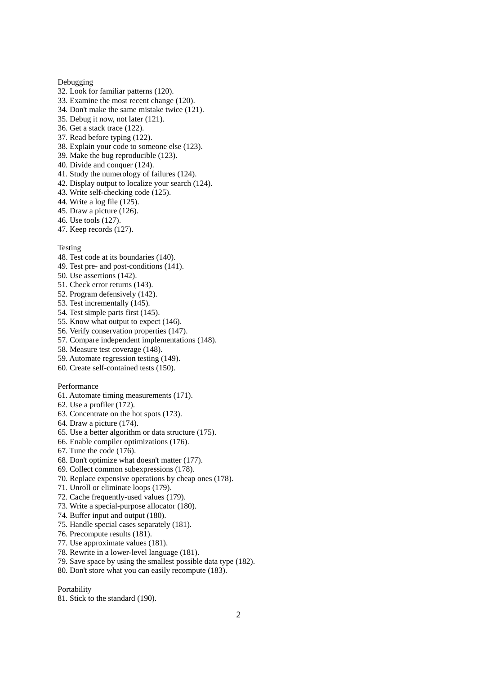## Debugging

- 32. Look for familiar patterns (120).
- 33. Examine the most recent change (120).
- 34. Don't make the same mistake twice (121).
- 35. Debug it now, not later (121).
- 36. Get a stack trace (122).
- 37. Read before typing (122).
- 38. Explain your code to someone else (123).
- 39. Make the bug reproducible (123).
- 40. Divide and conquer (124).
- 41. Study the numerology of failures (124).
- 42. Display output to localize your search (124).
- 43. Write self-checking code (125).
- 44. Write a log file (125).
- 45. Draw a picture (126).
- 46. Use tools (127).
- 47. Keep records (127).

Testing

- 48. Test code at its boundaries (140).
- 49. Test pre- and post-conditions (141).
- 50. Use assertions (142).
- 51. Check error returns (143).
- 52. Program defensively (142).
- 53. Test incrementally (145).
- 54. Test simple parts first (145).
- 55. Know what output to expect (146).
- 56. Verify conservation properties (147).
- 57. Compare independent implementations (148).
- 58. Measure test coverage (148).
- 59. Automate regression testing (149).
- 60. Create self-contained tests (150).

Performance

- 61. Automate timing measurements (171).
- 62. Use a profiler (172).
- 63. Concentrate on the hot spots (173).
- 64. Draw a picture (174).
- 65. Use a better algorithm or data structure (175).
- 66. Enable compiler optimizations (176).
- 67. Tune the code (176).
- 68. Don't optimize what doesn't matter (177).
- 69. Collect common subexpressions (178).
- 70. Replace expensive operations by cheap ones (178).
- 71. Unroll or eliminate loops (179).
- 72. Cache frequently-used values (179).
- 73. Write a special-purpose allocator (180).
- 74. Buffer input and output (180).
- 75. Handle special cases separately (181).
- 76. Precompute results (181).
- 77. Use approximate values (181).
- 78. Rewrite in a lower-level language (181).
- 79. Save space by using the smallest possible data type (182).
- 80. Don't store what you can easily recompute (183).

Portability

81. Stick to the standard (190).